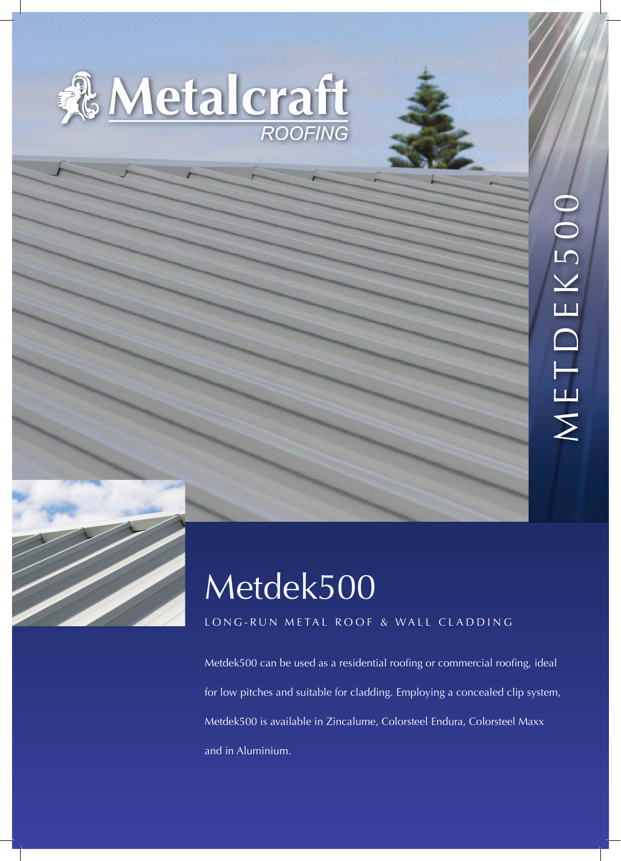



# Metdek500

## LONG-RUN METAL ROOF & WALL CLADDING

Metdek500 can be used as a residential roofing or commercial roofing, ideal for low pitches and suitable for cladding. Employing a concealed clip system, Metdek500 is available in Zincalume, Colorsteel Endura, Colorsteel Maxx and in Aluminium.